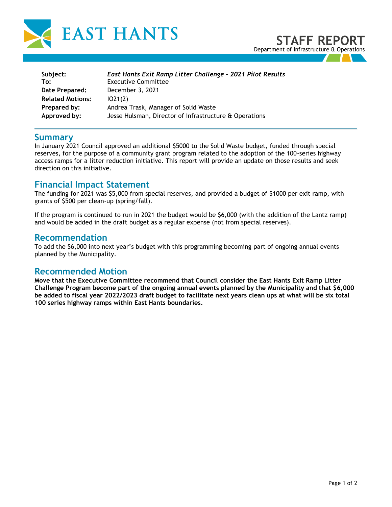

| Subject:                | East Hants Exit Ramp Litter Challenge - 2021 Pilot Results |
|-------------------------|------------------------------------------------------------|
| To:                     | <b>Executive Committee</b>                                 |
| Date Prepared:          | December 3, 2021                                           |
| <b>Related Motions:</b> | 1021(2)                                                    |
| Prepared by:            | Andrea Trask, Manager of Solid Waste                       |
| Approved by:            | Jesse Hulsman, Director of Infrastructure & Operations     |

### **Summary**

In January 2021 Council approved an additional \$5000 to the Solid Waste budget, funded through special reserves, for the purpose of a community grant program related to the adoption of the 100-series highway access ramps for a litter reduction initiative. This report will provide an update on those results and seek direction on this initiative.

### **Financial Impact Statement**

The funding for 2021 was \$5,000 from special reserves, and provided a budget of \$1000 per exit ramp, with grants of \$500 per clean-up (spring/fall).

If the program is continued to run in 2021 the budget would be \$6,000 (with the addition of the Lantz ramp) and would be added in the draft budget as a regular expense (not from special reserves).

### **Recommendation**

To add the \$6,000 into next year's budget with this programming becoming part of ongoing annual events planned by the Municipality.

### **Recommended Motion**

**Move that the Executive Committee recommend that Council consider the East Hants Exit Ramp Litter Challenge Program become part of the ongoing annual events planned by the Municipality and that \$6,000 be added to fiscal year 2022/2023 draft budget to facilitate next years clean ups at what will be six total 100 series highway ramps within East Hants boundaries.**